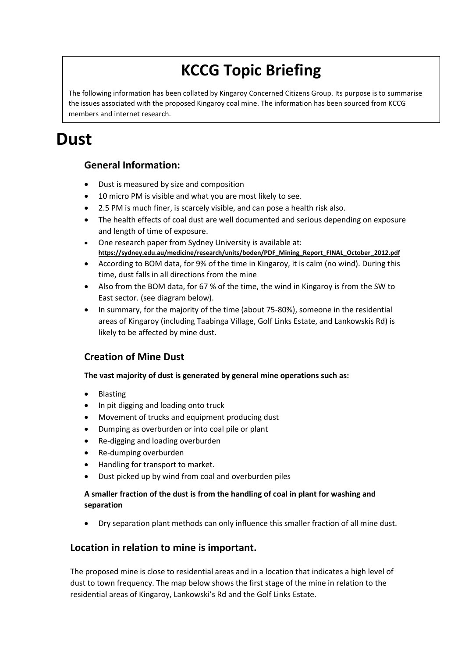# **KCCG Topic Briefing**

The following information has been collated by Kingaroy Concerned Citizens Group. Its purpose is to summarise the issues associated with the proposed Kingaroy coal mine. The information has been sourced from KCCG members and internet research.

# **Dust**

## **General Information:**

- Dust is measured by size and composition
- 10 micro PM is visible and what you are most likely to see.
- 2.5 PM is much finer, is scarcely visible, and can pose a health risk also.
- The health effects of coal dust are well documented and serious depending on exposure and length of time of exposure.
- One research paper from Sydney University is available at: **[https://sydney.edu.au/medicine/research/units/boden/PDF\\_Mining\\_Report\\_FINAL\\_October\\_2012.pdf](https://staffportal.bne.catholic.edu.au/owa/redir.aspx?SURL=OdpUrfWfmXpJV2-MVbsscX3bMQS-UjpU8CyTLs_FmclfrtQ7Zy7TCGgAdAB0AHAAcwA6AC8ALwBzAHkAZABuAGUAeQAuAGUAZAB1AC4AYQB1AC8AbQBlAGQAaQBjAGkAbgBlAC8AcgBlAHMAZQBhAHIAYwBoAC8AdQBuAGkAdABzAC8AYgBvAGQAZQBuAC8AUABEAEYAXwBNAGkAbgBpAG4AZwBfAFIAZQBwAG8AcgB0AF8ARgBJAE4AQQBMAF8ATwBjAHQAbwBiAGUAcgBfADIAMAAxADIALgBwAGQAZgA.&URL=https://sydney.edu.au/medicine/research/units/boden/PDF_Mining_Report_FINAL_October_2012.pdf)**
- According to BOM data, for 9% of the time in Kingaroy, it is calm (no wind). During this time, dust falls in all directions from the mine
- Also from the BOM data, for 67 % of the time, the wind in Kingaroy is from the SW to East sector. (see diagram below).
- In summary, for the majority of the time (about 75-80%), someone in the residential areas of Kingaroy (including Taabinga Village, Golf Links Estate, and Lankowskis Rd) is likely to be affected by mine dust.

## **Creation of Mine Dust**

#### **The vast majority of dust is generated by general mine operations such as:**

- Blasting
- In pit digging and loading onto truck
- Movement of trucks and equipment producing dust
- Dumping as overburden or into coal pile or plant
- Re-digging and loading overburden
- Re-dumping overburden
- Handling for transport to market.
- Dust picked up by wind from coal and overburden piles

#### **A smaller fraction of the dust is from the handling of coal in plant for washing and separation**

Dry separation plant methods can only influence this smaller fraction of all mine dust.

### **Location in relation to mine is important.**

The proposed mine is close to residential areas and in a location that indicates a high level of dust to town frequency. The map below shows the first stage of the mine in relation to the residential areas of Kingaroy, Lankowski's Rd and the Golf Links Estate.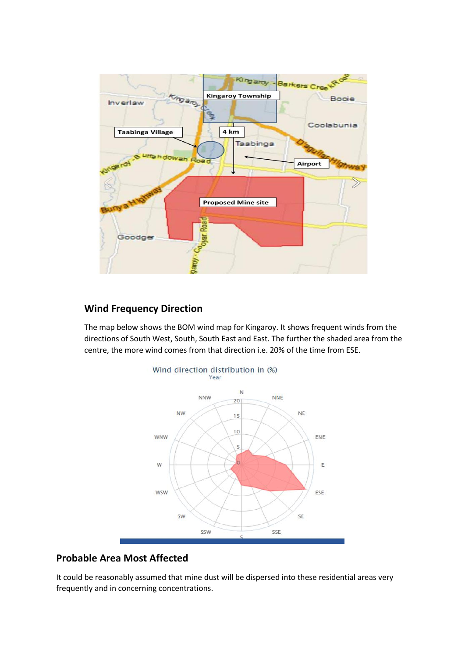

### **Wind Frequency Direction**

The map below shows the BOM wind map for Kingaroy. It shows frequent winds from the directions of South West, South, South East and East. The further the shaded area from the centre, the more wind comes from that direction i.e. 20% of the time from ESE.



## **Probable Area Most Affected**

It could be reasonably assumed that mine dust will be dispersed into these residential areas very frequently and in concerning concentrations.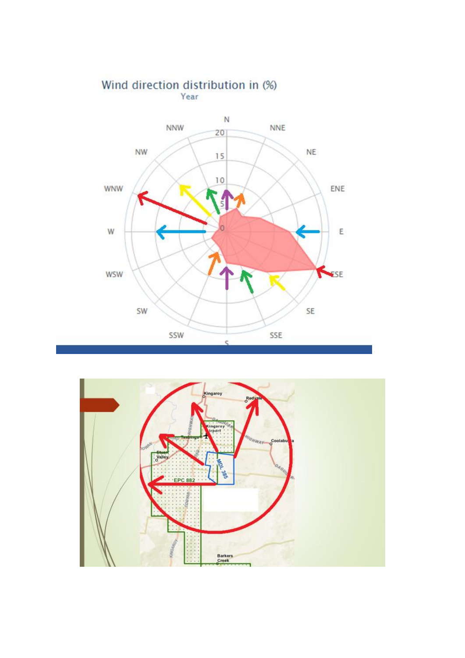